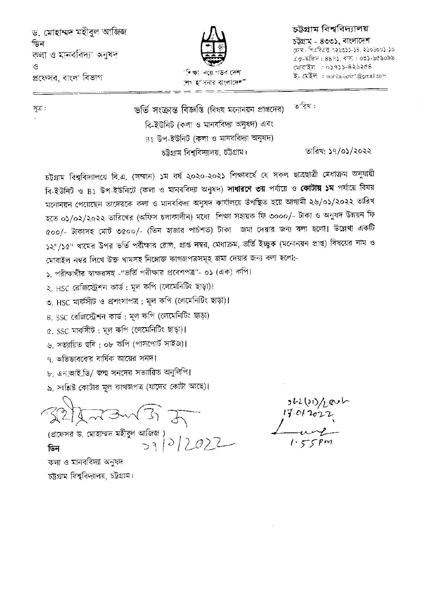ড. মোহাম্মদ মহীবুল আজিজ ডিন কলা ও মানববিদ্যা অনুষদ ও প্রফেসর, বাংলা বিভাগ



শেষ হ'বিনার বাংলাদেশ"

## চট্টগ্ৰাম বিশ্ববিদ্যালয়

চউগ্রাম - ৪৩৩১, বাংলাদেশ কেন। পিএবিএক ৭২৬৩১১-১৪, ২৬০৬০০১-১০ এক্সফিস : ৪৪৭১, বস: : ০৩১-৬৫৬০৯৯ মোবাইল: 0১৭১১-8২৬২৫৪ ই- মেইল : mohibulaziz\*@gmail.com

 $Z \in \mathcal{F}$ 

७ रिश: ভৰ্তি সংক্ৰান্ত বিজ্ঞপ্তি (বিষয় মনোনয়ন প্ৰাপ্তদেৱ) বি-ইউনিট (কলা ও মানববিদ্যা অনুষদ) এবং  $B1$  উপ-ইউনিট (কলা ও মানববিদ্যা অনুষদ) তারিখ: ১৭/০১/২০২২ চট্টগ্রাম বিশ্ববিদ্যালয়, চট্টগ্রাম।

চট্টগ্রাম বিশ্ববিদ্যালয়ে বি.এ. (সম্মান) ১ম বর্ষ ২০২০-২০২১ শিক্ষাবর্ষে যে সকল ছাত্রছাত্রী মেধাক্রম অনুযায়ী বি-ইউনিট ও B1 উপ-ইউনিটে (কলা ও মানববিদ্যা অনুষদ) **সাধারণে ৩য়** পর্যায়ে ও **কোটায় ১ম** পর্যায়ে বিষয় মনোনয়ন পেয়েছেন তাদেরকে কলা ও মানববিদ্যা অনুষদ কার্যালয়ে উপস্থিত হয়ে আগামী ২৬/০১/২০২২ তারিখ হতে ০১/০২/২০২২ তারিখের (অফিস চলাকালীন) মধ্যে শিক্ষা সহায়ক ফি ৩০০০/- টাকা ও অনুষদ উন্নয়ন ফি ৫০০/- টাকাসহ মোট ৩৫০০/- (তিন হাজার পার্চশত) টাকা জমা দেয়ার জন্য বলা হলো। উল্লেখ্য একটি ১২"/১৫" খামের উপর ভর্তি পর্রীক্ষার রোল, প্রাপ্ত নম্বর, মেধাক্রম, ভর্তি ইচ্ছুক (মনোনয়ন প্রাপ্ত) বিষয়ের নাম ও মোবাইল নম্বর লিখে উক্ত খামসহ নিম্নোক্ত কাগজপত্রসমূহ জমা দেয়ার জন্য বলা হলো:-

১, পরীক্ষার্থীর স্বাক্ষরসহ -"ভর্তি পরীক্ষার প্রবেশপত্র"- ০১ (এক) কপি।

২. HSC রেজিস্ট্রেশন কার্ড : মূল কপি (লেমেনিটিং ছাড়া)।

৩. HSC মার্কসীট ও প্রশংসাপত্র ; মূল কপি (লেমেনিটিং ছাড়া)।

৪, SSC রেজিস্ট্রেশন কার্ড : মূল কপি (লেমেনিটিং ছাড়া)

৫. SSC মাৰ্কসীট: মূল কপি (লেমেনিটিং ছাড়া)।

৬, সত্যায়িত ছবি : ০৮ কপি (পাসপোর্ট সাইজ)।

৭, অভিভাবকের বার্ষিক আয়ের সমদ।

৮, এন.আই.ডি/ জন্ম সনদের সত্যায়িত অনুলিপি।

৯, সংশ্লিষ্ট কোটার মূল কাগজপত্র (যাদের কোটা আছে)।

ডিন

কলা ও মানববিদ্যা অনুষদ চট্টগ্রাম বিশ্ববিদ্যালয়, চট্টগ্রাম।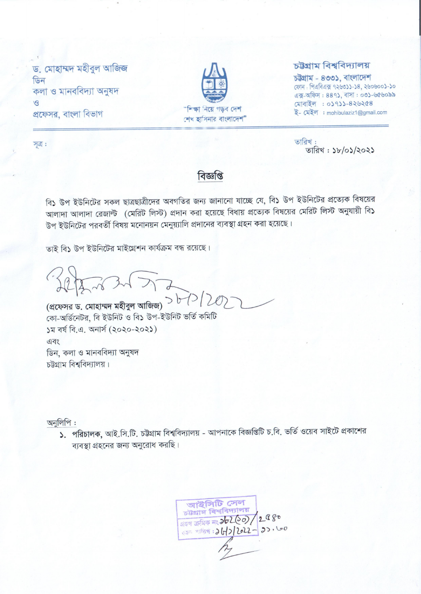ড. মোহাম্মদ মহীবুল আজিজ ডিন কলা ও মানববিদ্যা অনুষদ  $\mathcal{B}$ প্রফেসর, বাংলা বিভাগ



## চউগ্ৰাম বিশ্ববিদ্যালয়

তারিখ:

চউগ্ৰাম - ৪৩৩১, বাংলাদেশ ফোন: পিএবিএক্স ৭২৬৩১১-১৪, ২৬০৬০০১-১০ এক্স-অফিস: 889), বাসা: ০৩১-৬৫৬০৯৯ মোবাইল : ০১৭১১-৪২৬২৫৪ ই- মেইল : mohibulaziz1@gmail.com

তারিখ: ১৮/০১/২০২১

সূত্র :

## বিজ্ঞপ্তি

বি১ উপ ইউনিটের সকল ছাত্রছাত্রীদের অবগতির জন্য জানানো যাচ্ছে যে, বি১ উপ ইউনিটের প্রত্যেক বিষয়ের আলাদা আলাদা রেজাল্ট (মেরিট লিস্ট) প্রদান করা হয়েছে বিধায় প্রত্যেক বিষয়ের মেরিট লিস্ট অনুযায়ী বি১ উপ ইউনিটের পরবর্তী বিষয় মনোনয়ন মেনুয়্যালি প্রদানের ব্যবস্থা গ্রহন করা হয়েছে।

তাই বি১ উপ ইউনিটের মাইগ্রেশন কার্যক্রম বন্ধ রয়েছে।

Setens 2577

(প্রফেসর ড. মোহাম্মদ মহীবুল আজিজ)  $>$   $b$   $\geq$   $\geq$   $\geq$   $\geq$ কো-অৰ্ডিনেটৱ, বি ইউনিট ও বি১ উপ-ইউনিট ভৰ্তি কমিটি ১ম বর্ষ বি.এ. অনার্স (২০২০-২০২১) এবং ডিন, কলা ও মানববিদ্যা অনুষদ চউগ্রাম বিশ্ববিদ্যালয়।

অনুলিপি:

১. পরিচালক, আই.সি.টি. চট্টগ্রাম বিশ্ববিদ্যালয় - আপনাকে বিজ্ঞপ্তিটি চ.বি. ভর্তি ওয়েব সাইটে প্রকাশের ব্যবস্থা গ্রহনের জন্য অনুরোধ করছি।

আইসিটি সেল<br>চাগ্রাম বিশ্ববিদ্যালয় 2980 क्षिक ना 20200/2980 200 200 2012-2010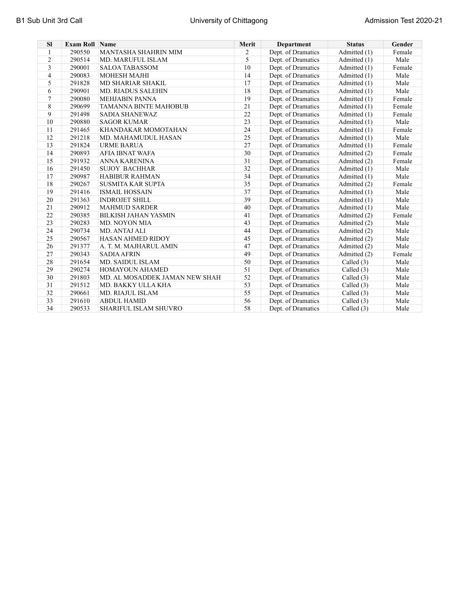| <b>SI</b>      | <b>Exam Roll Name</b> |                                | Merit | <b>Department</b>  | <b>Status</b> | Gender |
|----------------|-----------------------|--------------------------------|-------|--------------------|---------------|--------|
| $\mathbf{1}$   | 290550                | <b>MANTASHA SHAHRIN MIM</b>    | 2     | Dept. of Dramatics | Admitted (1)  | Female |
| $\overline{c}$ | 290514                | <b>MD. MARUFUL ISLAM</b>       | 5     | Dept. of Dramatics | Admitted (1)  | Male   |
| 3              | 290001                | <b>SALOA TABASSOM</b>          | 10    | Dept. of Dramatics | Admitted (1)  | Female |
| 4              | 290083                | <b>MOHESH MAJHI</b>            | 14    | Dept. of Dramatics | Admitted (1)  | Male   |
| 5              | 291828                | <b>MD SHARIAR SHAKIL</b>       | 17    | Dept. of Dramatics | Admitted (1)  | Male   |
| 6              | 290901                | <b>MD. RIADUS SALEHIN</b>      | 18    | Dept. of Dramatics | Admitted (1)  | Male   |
| 7              | 290080                | <b>MEHJABIN PANNA</b>          | 19    | Dept. of Dramatics | Admitted (1)  | Female |
| 8              | 290699                | <b>TAMANNA BINTE MAHOBUB</b>   | 21    | Dept. of Dramatics | Admitted (1)  | Female |
| 9              | 291498                | <b>SADIA SHANEWAZ</b>          | 22    | Dept. of Dramatics | Admitted (1)  | Female |
| 10             | 290880                | <b>SAGOR KUMAR</b>             | 23    | Dept. of Dramatics | Admitted (1)  | Male   |
| 11             | 291465                | KHANDAKAR MOMOTAHAN            | 24    | Dept. of Dramatics | Admitted (1)  | Female |
| 12             | 291218                | MD. MAHAMUDUL HASAN            | 25    | Dept. of Dramatics | Admitted (1)  | Male   |
| 13             | 291824                | <b>URME BARUA</b>              | 27    | Dept. of Dramatics | Admitted (1)  | Female |
| 14             | 290893                | <b>AFIA IBNAT WAFA</b>         | 30    | Dept. of Dramatics | Admitted (2)  | Female |
| 15             | 291932                | ANNA KARENINA                  | 31    | Dept. of Dramatics | Admitted (2)  | Female |
| 16             | 291450                | <b>SUJOY BACHHAR</b>           | 32    | Dept. of Dramatics | Admitted (1)  | Male   |
| 17             | 290987                | <b>HABIBUR RAHMAN</b>          | 34    | Dept. of Dramatics | Admitted (1)  | Male   |
| 18             | 290267                | <b>SUSMITA KAR SUPTA</b>       | 35    | Dept. of Dramatics | Admitted (2)  | Female |
| 19             | 291416                | <b>ISMAIL HOSSAIN</b>          | 37    | Dept. of Dramatics | Admitted (1)  | Male   |
| 20             | 291363                | <b>INDROJET SHILL</b>          | 39    | Dept. of Dramatics | Admitted (1)  | Male   |
| 21             | 290912                | <b>MAHMUD SARDER</b>           | 40    | Dept. of Dramatics | Admitted (1)  | Male   |
| 22             | 290385                | <b>BILKISH JAHAN YASMIN</b>    | 41    | Dept. of Dramatics | Admitted (2)  | Female |
| 23             | 290283                | <b>MD. NOYON MIA</b>           | 43    | Dept. of Dramatics | Admitted (2)  | Male   |
| 24             | 290734                | MD. ANTAJ ALI                  | 44    | Dept. of Dramatics | Admitted (2)  | Male   |
| 25             | 290567                | <b>HASAN AHMED RIDOY</b>       | 45    | Dept. of Dramatics | Admitted (2)  | Male   |
| 26             | 291377                | A. T. M. MAJHARUL AMIN         | 47    | Dept. of Dramatics | Admitted (2)  | Male   |
| 27             | 290343                | <b>SADIA AFRIN</b>             | 49    | Dept. of Dramatics | Admitted (2)  | Female |
| 28             | 291654                | <b>MD. SAIDUL ISLAM</b>        | 50    | Dept. of Dramatics | Called $(3)$  | Male   |
| 29             | 290274                | <b>HOMAYOUN AHAMED</b>         | 51    | Dept. of Dramatics | Called $(3)$  | Male   |
| 30             | 291803                | MD. AL MOSADDEK JAMAN NEW SHAH | 52    | Dept. of Dramatics | Called (3)    | Male   |
| 31             | 291512                | MD. BAKKY ULLA KHA             | 53    | Dept. of Dramatics | Called $(3)$  | Male   |
| 32             | 290661                | MD. RIAJUL ISLAM               | 55    | Dept. of Dramatics | Called $(3)$  | Male   |
| 33             | 291610                | <b>ABDUL HAMID</b>             | 56    | Dept. of Dramatics | Called (3)    | Male   |
| 34             | 290533                | <b>SHARIFUL ISLAM SHUVRO</b>   | 58    | Dept. of Dramatics | Called (3)    | Male   |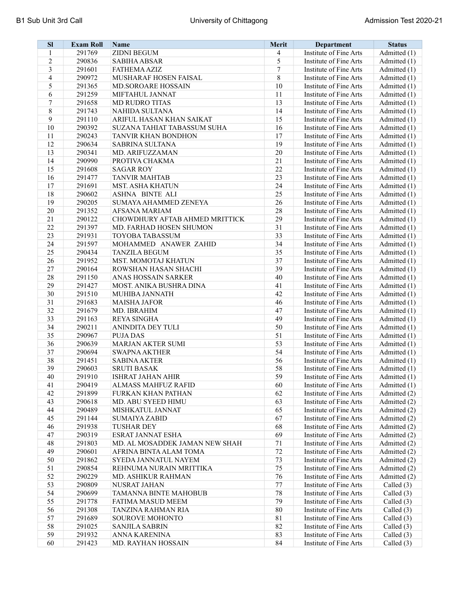| <b>SI</b>        | <b>Exam Roll</b> | <b>Name</b>                    | Merit   | Department             | <b>Status</b> |
|------------------|------------------|--------------------------------|---------|------------------------|---------------|
| 1                | 291769           | <b>ZIDNI BEGUM</b>             | 4       | Institute of Fine Arts | Admitted (1)  |
| $\boldsymbol{2}$ | 290836           | <b>SABIHA ABSAR</b>            | 5       | Institute of Fine Arts | Admitted (1)  |
| 3                | 291601           | <b>FATHEMA AZIZ</b>            | 7       | Institute of Fine Arts | Admitted (1)  |
| 4                | 290972           | MUSHARAF HOSEN FAISAL          | $\,8\,$ | Institute of Fine Arts | Admitted (1)  |
| 5                | 291365           | MD.SOROARE HOSSAIN             | 10      | Institute of Fine Arts | Admitted (1)  |
| 6                | 291259           | MIFTAHUL JANNAT                | 11      | Institute of Fine Arts | Admitted (1)  |
| $\boldsymbol{7}$ | 291658           | <b>MD RUDRO TITAS</b>          | 13      | Institute of Fine Arts | Admitted (1)  |
| $\,8\,$          | 291743           | <b>NAHIDA SULTANA</b>          | 14      | Institute of Fine Arts | Admitted (1)  |
| 9                | 291110           | ARIFUL HASAN KHAN SAIKAT       | 15      | Institute of Fine Arts | Admitted (1)  |
| 10               | 290392           | SUZANA TAHIAT TABASSUM SUHA    | 16      | Institute of Fine Arts | Admitted (1)  |
| 11               | 290243           | TANVIR KHAN BONDHON            | 17      | Institute of Fine Arts | Admitted (1)  |
| 12               | 290634           | <b>SABRINA SULTANA</b>         | 19      | Institute of Fine Arts | Admitted (1)  |
| 13               | 290341           | MD. ARIFUZZAMAN                | 20      | Institute of Fine Arts | Admitted (1)  |
| 14               | 290990           | PROTIVA CHAKMA                 | 21      | Institute of Fine Arts | Admitted (1)  |
| 15               | 291608           | <b>SAGAR ROY</b>               | 22      | Institute of Fine Arts | Admitted (1)  |
| 16               | 291477           | <b>TANVIR MAHTAB</b>           | 23      | Institute of Fine Arts | Admitted (1)  |
| 17               | 291691           | <b>MST. ASHA KHATUN</b>        | 24      | Institute of Fine Arts | Admitted (1)  |
| $18\,$           | 290602           | <b>ASHNA BINTE ALI</b>         | 25      | Institute of Fine Arts | Admitted (1)  |
| 19               | 290205           | SUMAYA AHAMMED ZENEYA          | 26      | Institute of Fine Arts | Admitted (1)  |
| 20               | 291352           | AFSANA MARIAM                  | 28      | Institute of Fine Arts | Admitted (1)  |
| 21               | 290122           | CHOWDHURY AFTAB AHMED MRITTICK | 29      | Institute of Fine Arts | Admitted (1)  |
| 22               | 291397           | MD. FARHAD HOSEN SHUMON        | 31      | Institute of Fine Arts | Admitted (1)  |
| 23               | 291931           | <b>TOYOBA TABASSUM</b>         | 33      | Institute of Fine Arts | Admitted (1)  |
| 24               | 291597           | MOHAMMED ANAWER ZAHID          | 34      | Institute of Fine Arts | Admitted (1)  |
| 25               | 290434           | <b>TANZILA BEGUM</b>           | 35      | Institute of Fine Arts | Admitted (1)  |
| 26               | 291952           | MST. MOMOTAJ KHATUN            | 37      | Institute of Fine Arts | Admitted (1)  |
| 27               | 290164           | ROWSHAN HASAN SHACHI           | 39      | Institute of Fine Arts | Admitted (1)  |
| $28\,$           | 291150           | ANAS HOSSAIN SARKER            | 40      | Institute of Fine Arts | Admitted (1)  |
| 29               | 291427           | MOST. ANIKA BUSHRA DINA        | 41      | Institute of Fine Arts | Admitted (1)  |
| 30               | 291510           | <b>MUHIBA JANNATH</b>          | 42      | Institute of Fine Arts | Admitted (1)  |
| 31               | 291683           | <b>MAISHA JAFOR</b>            | 46      | Institute of Fine Arts | Admitted (1)  |
| 32               | 291679           | MD. IBRAHIM                    | 47      | Institute of Fine Arts | Admitted (1)  |
| 33               | 291163           | <b>REYA SINGHA</b>             | 49      | Institute of Fine Arts | Admitted (1)  |
| 34               | 290211           | ANINDITA DEY TULI              | 50      | Institute of Fine Arts | Admitted (1)  |
| 35               | 290967           | <b>PUJA DAS</b>                | 51      | Institute of Fine Arts | Admitted (1)  |
| 36               | 290639           | <b>MARJAN AKTER SUMI</b>       | 53      | Institute of Fine Arts | Admitted (1)  |
| 37               | 290694           | <b>SWAPNA AKTHER</b>           | 54      | Institute of Fine Arts | Admitted (1)  |
| 38               | 291451           | <b>SABINA AKTER</b>            | 56      |                        |               |
| 39               |                  |                                | 58      | Institute of Fine Arts | Admitted (1)  |
|                  | 290603           | <b>SRUTI BASAK</b>             |         | Institute of Fine Arts | Admitted (1)  |
| 40               | 291910           | <b>ISHRAT JAHAN AHIR</b>       | 59      | Institute of Fine Arts | Admitted (1)  |
| 41               | 290419           | ALMASS MAHFUZ RAFID            | 60      | Institute of Fine Arts | Admitted (1)  |
| 42               | 291899           | <b>FURKAN KHAN PATHAN</b>      | 62      | Institute of Fine Arts | Admitted (2)  |
| 43               | 290618           | MD. ABU SYEED HIMU             | 63      | Institute of Fine Arts | Admitted (2)  |
| 44               | 290489           | MISHKATUL JANNAT               | 65      | Institute of Fine Arts | Admitted (2)  |
| 45               | 291144           | <b>SUMAIYA ZABID</b>           | 67      | Institute of Fine Arts | Admitted (2)  |
| 46               | 291938           | <b>TUSHAR DEY</b>              | 68      | Institute of Fine Arts | Admitted (2)  |
| 47               | 290319           | <b>ESRAT JANNAT ESHA</b>       | 69      | Institute of Fine Arts | Admitted (2)  |
| 48               | 291803           | MD. AL MOSADDEK JAMAN NEW SHAH | 71      | Institute of Fine Arts | Admitted (2)  |
| 49               | 290601           | AFRINA BINTA ALAM TOMA         | 72      | Institute of Fine Arts | Admitted (2)  |
| 50               | 291862           | SYEDA JANNATUL NAYEM           | 73      | Institute of Fine Arts | Admitted (2)  |
| 51               | 290854           | REHNUMA NURAIN MRITTIKA        | 75      | Institute of Fine Arts | Admitted (2)  |
| 52               | 290229           | MD. ASHIKUR RAHMAN             | 76      | Institute of Fine Arts | Admitted (2)  |
| 53               | 290809           | NUSRAT JAHAN                   | $77 \,$ | Institute of Fine Arts | Called $(3)$  |
| 54               | 290699           | TAMANNA BINTE MAHOBUB          | 78      | Institute of Fine Arts | Called $(3)$  |
| 55               | 291778           | <b>FATIMA MASUD MEEM</b>       | 79      | Institute of Fine Arts | Called $(3)$  |
| 56               | 291308           | TANZINA RAHMAN RIA             | 80      | Institute of Fine Arts | Called (3)    |
| 57               | 291689           | <b>SOUROVE MOHONTO</b>         | 81      | Institute of Fine Arts | Called (3)    |
| 58               | 291025           | <b>SANJILA SABRIN</b>          | 82      | Institute of Fine Arts | Called (3)    |
| 59               | 291932           | ANNA KARENINA                  | 83      | Institute of Fine Arts | Called $(3)$  |
| 60               | 291423           | MD. RAYHAN HOSSAIN             | 84      | Institute of Fine Arts | Called (3)    |